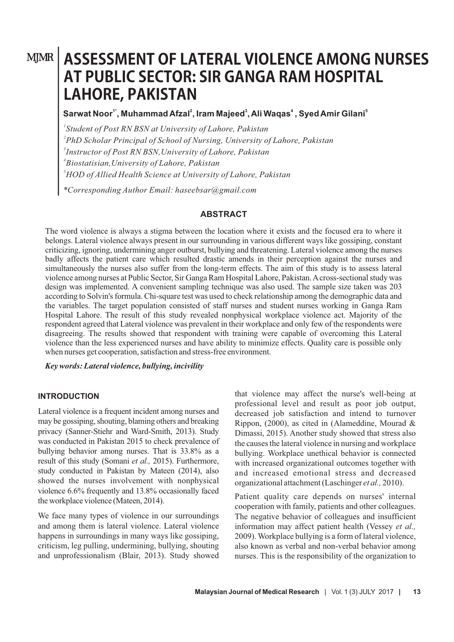# **MJMR | ASSESSMENT OF LATERAL VIOLENCE AMONG NURSES AT PUBLIC SECTOR: SIR GANGA RAM HOSPITAL LAHORE, PAKISTAN**

# **1\* <sup>2</sup> <sup>3</sup> <sup>4</sup> <sup>5</sup> Sarwat Noor , Muhammad Afzal , Iram Majeed , Ali Waqas , Syed Amir Gilani**

 *Student of Post RN BSN at University of Lahore, Pakistan PhD Scholar Principal of School of Nursing, University of Lahore, Pakistan Instructor of Post RN BSN,University of Lahore, Pakistan Biostatisian,University of Lahore, Pakistan HOD of Allied Health Science at University of Lahore, Pakistan*

*\*Corresponding Author Email: haseebsar@gmail.com*

#### **ABSTRACT**

The word violence is always a stigma between the location where it exists and the focused era to where it belongs. Lateral violence always present in our surrounding in various different ways like gossiping, constant criticizing, ignoring, undermining anger outburst, bullying and threatening. Lateral violence among the nurses badly affects the patient care which resulted drastic amends in their perception against the nurses and simultaneously the nurses also suffer from the long-term effects. The aim of this study is to assess lateral violence among nurses at Public Sector, Sir Ganga Ram Hospital Lahore, Pakistan. Across-sectional study was design was implemented. A convenient sampling technique was also used. The sample size taken was 203 according to Solvin's formula. Chi-square test was used to check relationship among the demographic data and the variables. The target population consisted of staff nurses and student nurses working in Ganga Ram Hospital Lahore. The result of this study revealed nonphysical workplace violence act. Majority of the respondent agreed that Lateral violence was prevalent in their workplace and only few of the respondents were disagreeing. The results showed that respondent with training were capable of overcoming this Lateral violence than the less experienced nurses and have ability to minimize effects. Quality care is possible only when nurses get cooperation, satisfaction and stress-free environment.

*Key words: Lateral violence, bullying, incivility*

#### **INTRODUCTION**

Lateral violence is a frequent incident among nurses and may be gossiping, shouting, blaming others and breaking privacy (Sanner-Stiehr and Ward-Smith, 2013). Study was conducted in Pakistan 2015 to check prevalence of bullying behavior among nurses. That is 33.8% as a result of this study (Somani *et al.,* 2015). Furthermore, study conducted in Pakistan by Mateen (2014), also showed the nurses involvement with nonphysical violence 6.6% frequently and 13.8% occasionally faced the workplace violence (Mateen, 2014).

We face many types of violence in our surroundings and among them is lateral violence. Lateral violence happens in surroundings in many ways like gossiping, criticism, leg pulling, undermining, bullying, shouting and unprofessionalism (Blair, 2013). Study showed that violence may affect the nurse's well-being at professional level and result as poor job output, decreased job satisfaction and intend to turnover Rippon, (2000), as cited in (Alameddine, Mourad & Dimassi, 2015). Another study showed that stress also the causes the lateral violence in nursing and workplace bullying. Workplace unethical behavior is connected with increased organizational outcomes together with and increased emotional stress and decreased organizational attachment (Laschinger *et al.,* 2010).

Patient quality care depends on nurses' internal cooperation with family, patients and other colleagues. The negative behavior of colleagues and insufficient information may affect patient health (Vessey *et al.,* 2009). Workplace bullying is a form of lateral violence, also known as verbal and non-verbal behavior among nurses. This is the responsibility of the organization to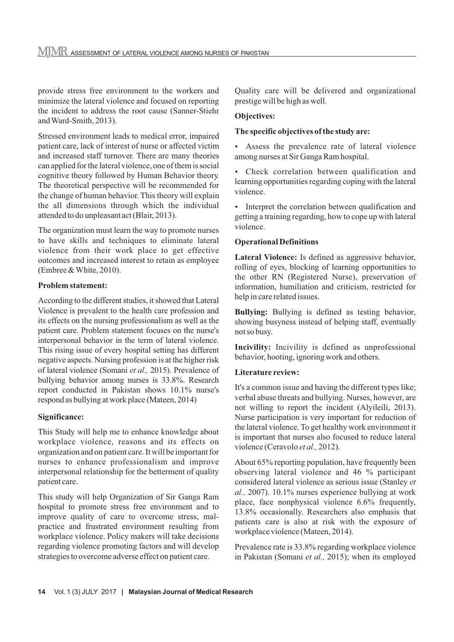provide stress free environment to the workers and minimize the lateral violence and focused on reporting the incident to address the root cause (Sanner-Stiehr and Ward-Smith, 2013).

Stressed environment leads to medical error, impaired patient care, lack of interest of nurse or affected victim and increased staff turnover. There are many theories can applied for the lateral violence, one of them is social cognitive theory followed by Human Behavior theory. The theoretical perspective will be recommended for the change of human behavior. This theory will explain the all dimensions through which the individual attended to do unpleasant act (Blair, 2013).

The organization must learn the way to promote nurses to have skills and techniques to eliminate lateral violence from their work place to get effective outcomes and increased interest to retain as employee (Embree & White, 2010).

# **Problem statement:**

According to the different studies, it showed that Lateral Violence is prevalent to the health care profession and its effects on the nursing professionalism as well as the patient care. Problem statement focuses on the nurse's interpersonal behavior in the term of lateral violence. This rising issue of every hospital setting has different negative aspects. Nursing profession is at the higher risk of lateral violence (Somani *et al.,* 2015). Prevalence of bullying behavior among nurses is 33.8%. Research report conducted in Pakistan shows 10.1% nurse's respond as bullying at work place (Mateen, 2014)

# **Significance:**

This Study will help me to enhance knowledge about workplace violence, reasons and its effects on organization and on patient care. It will be important for nurses to enhance professionalism and improve interpersonal relationship for the betterment of quality patient care.

This study will help Organization of Sir Ganga Ram hospital to promote stress free environment and to improve quality of care to overcome stress, malpractice and frustrated environment resulting from workplace violence. Policy makers will take decisions regarding violence promoting factors and will develop strategies to overcome adverse effect on patient care.

Quality care will be delivered and organizational prestige will be high as well.

### **Objectives:**

# **The specific objectives of the study are:**

• Assess the prevalence rate of lateral violence among nurses at Sir Ganga Ram hospital.

• Check correlation between qualification and learning opportunities regarding coping with the lateral violence.

• Interpret the correlation between qualification and getting a training regarding, how to cope up with lateral violence.

# **Operational Definitions**

**Lateral Violence:** Is defined as aggressive behavior, rolling of eyes, blocking of learning opportunities to the other RN (Registered Nurse), preservation of information, humiliation and criticism, restricted for help in care related issues.

**Bullying:** Bullying is defined as testing behavior, showing busyness instead of helping staff, eventually not so busy.

**Incivility:** Incivility is defined as unprofessional behavior, hooting, ignoring work and others.

# **Literature review:**

It's a common issue and having the different types like; verbal abuse threats and bullying. Nurses, however, are not willing to report the incident (Alyileili, 2013). Nurse participation is very important for reduction of the lateral violence. To get healthy work environment it is important that nurses also focused to reduce lateral violence (Ceravolo *et al.,* 2012).

About 65% reporting population, have frequently been observing lateral violence and 46 % participant considered lateral violence as serious issue (Stanley *et al.,* 2007). 10.1% nurses experience bullying at work place, face nonphysical violence 6.6% frequently, 13.8% occasionally. Researchers also emphasis that patients care is also at risk with the exposure of workplace violence (Mateen, 2014).

Prevalence rate is 33.8% regarding workplace violence in Pakistan (Somani *et al.,* 2015); when its employed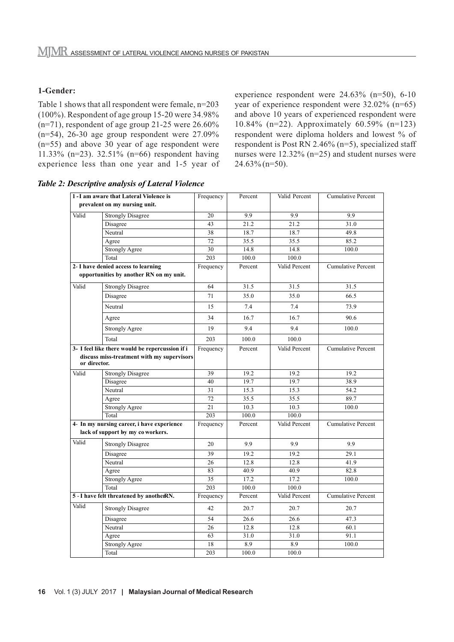#### **1-Gender:**

Table 1 shows that all respondent were female, n=203 (100%). Respondent of age group 15-20 were 34.98%  $(n=71)$ , respondent of age group 21-25 were 26.60%  $(n=54)$ , 26-30 age group respondent were 27.09% (n=55) and above 30 year of age respondent were 11.33% (n=23). 32.51% (n=66) respondent having experience less than one year and 1-5 year of experience respondent were 24.63% (n=50), 6-10 year of experience respondent were 32.02% (n=65) and above 10 years of experienced respondent were 10.84% (n=22). Approximately 60.59% (n=123) respondent were diploma holders and lowest % of respondent is Post RN 2.46% (n=5), specialized staff nurses were 12.32% (n=25) and student nurses were  $24.63\%$  (n=50).

*Table 2: Descriptive analysis of Lateral Violence*

| 1-I am aware that Lateral Violence is           |                                            | Frequency | Percent | Valid Percent | <b>Cumulative Percent</b> |
|-------------------------------------------------|--------------------------------------------|-----------|---------|---------------|---------------------------|
|                                                 | prevalent on my nursing unit.              |           |         |               |                           |
| Valid                                           | <b>Strongly Disagree</b>                   | 20        | 9.9     | 9.9           | 9.9                       |
|                                                 | Disagree                                   | 43        | 21.2    | 21.2          | 31.0                      |
|                                                 | Neutral                                    | 38        | 18.7    | 18.7          | 49.8                      |
|                                                 | Agree                                      | 72        | 35.5    | 35.5          | 85.2                      |
|                                                 | <b>Strongly Agree</b>                      | 30        | 14.8    | 14.8          | 100.0                     |
|                                                 | Total                                      | 203       | 100.0   | 100.0         |                           |
| 2- I have denied access to learning             |                                            | Frequency | Percent | Valid Percent | <b>Cumulative Percent</b> |
|                                                 | opportunities by another RN on my unit.    |           |         |               |                           |
| Valid                                           | <b>Strongly Disagree</b>                   | 64        | 31.5    | 31.5          | 31.5                      |
|                                                 | Disagree                                   | 71        | 35.0    | 35.0          | 66.5                      |
|                                                 | Neutral                                    | 15        | 7.4     | 7.4           | 73.9                      |
|                                                 | Agree                                      | 34        | 16.7    | 16.7          | 90.6                      |
|                                                 | <b>Strongly Agree</b>                      | 19        | 9.4     | 9.4           | 100.0                     |
|                                                 | Total                                      | 203       | 100.0   | 100.0         |                           |
| 3- I feel like there would be repercussion if i |                                            | Frequency | Percent | Valid Percent | <b>Cumulative Percent</b> |
| or director.                                    | discuss miss-treatment with my supervisors |           |         |               |                           |
| Valid                                           | <b>Strongly Disagree</b>                   | 39        | 19.2    | 19.2          | 19.2                      |
|                                                 | Disagree                                   | 40        | 19.7    | 19.7          | 38.9                      |
|                                                 | Neutral                                    | 31        | 15.3    | 15.3          | 54.2                      |
|                                                 | Agree                                      | 72        | 35.5    | 35.5          | 89.7                      |
|                                                 | <b>Strongly Agree</b>                      | 21        | 10.3    | 10.3          | 100.0                     |
|                                                 | Total                                      | 203       | 100.0   | 100.0         |                           |
|                                                 | 4- In my nursing career, i have experience | Frequency | Percent | Valid Percent | <b>Cumulative Percent</b> |
|                                                 | lack of support by my coworkers.           |           |         |               |                           |
| Valid                                           | <b>Strongly Disagree</b>                   | 20        | 9.9     | 9.9           | 9.9                       |
|                                                 | Disagree                                   | 39        | 19.2    | 19.2          | 29.1                      |
|                                                 | Neutral                                    | 26        | 12.8    | 12.8          | 41.9                      |
|                                                 | Agree                                      | 83        | 40.9    | 40.9          | 82.8                      |
|                                                 | <b>Strongly Agree</b>                      | 35        | 17.2    | 17.2          | 100.0                     |
|                                                 | Total                                      | 203       | 100.0   | 100.0         |                           |
| 5 - I have felt threatened by anotherRN.        |                                            | Frequency | Percent | Valid Percent | <b>Cumulative Percent</b> |
| Valid                                           | <b>Strongly Disagree</b>                   | 42        | 20.7    | 20.7          | 20.7                      |
|                                                 | Disagree                                   | 54        | 26.6    | 26.6          | 47.3                      |
|                                                 | Neutral                                    | 26        | 12.8    | 12.8          | 60.1                      |
|                                                 | Agree                                      | 63        | 31.0    | 31.0          | 91.1                      |
|                                                 | <b>Strongly Agree</b>                      | 18        | 8.9     | 8.9           | 100.0                     |
|                                                 | Total                                      | 203       | 100.0   | 100.0         |                           |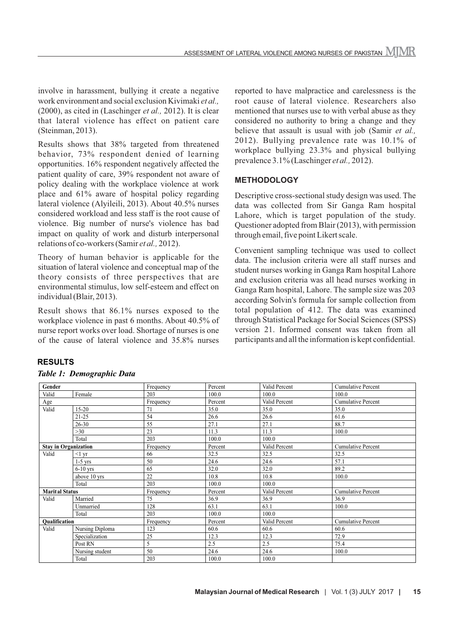involve in harassment, bullying it create a negative work environment and social exclusion Kivimaki *et al.,* (2000), as cited in (Laschinger *et al.,* 2012). It is clear that lateral violence has effect on patient care (Steinman, 2013).

Results shows that 38% targeted from threatened behavior, 73% respondent denied of learning opportunities. 16% respondent negatively affected the patient quality of care, 39% respondent not aware of policy dealing with the workplace violence at work place and 61% aware of hospital policy regarding lateral violence (Alyileili, 2013). About 40.5% nurses considered workload and less staff is the root cause of violence. Big number of nurse's violence has bad impact on quality of work and disturb interpersonal relations of co-workers (Samir *et al.,* 2012).

Theory of human behavior is applicable for the situation of lateral violence and conceptual map of the theory consists of three perspectives that are environmental stimulus, low self-esteem and effect on individual (Blair, 2013).

Result shows that 86.1% nurses exposed to the workplace violence in past 6 months. About 40.5% of nurse report works over load. Shortage of nurses is one of the cause of lateral violence and 35.8% nurses

reported to have malpractice and carelessness is the root cause of lateral violence. Researchers also mentioned that nurses use to with verbal abuse as they considered no authority to bring a change and they believe that assault is usual with job (Samir *et al.,* 2012). Bullying prevalence rate was 10.1% of workplace bullying 23.3% and physical bullying prevalence 3.1% (Laschinger *et al.,* 2012).

### **METHODOLOGY**

Descriptive cross-sectional study design was used. The data was collected from Sir Ganga Ram hospital Lahore, which is target population of the study. Questioner adopted from Blair (2013), with permission through email, five point Likert scale.

Convenient sampling technique was used to collect data. The inclusion criteria were all staff nurses and student nurses working in Ganga Ram hospital Lahore and exclusion criteria was all head nurses working in Ganga Ram hospital, Lahore. The sample size was 203 according Solvin's formula for sample collection from total population of 412. The data was examined through Statistical Package for Social Sciences (SPSS) version 21. Informed consent was taken from all participants and all the information is kept confidential.

#### **RESULTS**

#### *Table 1: Demographic Data*

| Gender                      |                 | Frequency | Percent | Valid Percent | <b>Cumulative Percent</b> |
|-----------------------------|-----------------|-----------|---------|---------------|---------------------------|
| Valid                       | Female          | 203       | 100.0   | 100.0         | 100.0                     |
|                             |                 |           |         |               |                           |
| Age                         |                 | Frequency | Percent | Valid Percent | <b>Cumulative Percent</b> |
| Valid                       | $15 - 20$       | 71        | 35.0    | 35.0          | 35.0                      |
|                             | $21 - 25$       | 54        | 26.6    | 26.6          | 61.6                      |
|                             | $26 - 30$       | 55        | 27.1    | 27.1          | 88.7                      |
|                             | $>30$           | 23        | 11.3    | 11.3          | 100.0                     |
|                             | Total           | 203       | 100.0   | 100.0         |                           |
| <b>Stay in Organization</b> |                 | Frequency | Percent | Valid Percent | <b>Cumulative Percent</b> |
| Valid                       | $<$ 1 yr        | 66        | 32.5    | 32.5          | 32.5                      |
|                             | $1-5$ yrs       | 50        | 24.6    | 24.6          | 57.1                      |
|                             | $6-10$ yrs      | 65        | 32.0    | 32.0          | 89.2                      |
|                             | above 10 yrs    | 22        | 10.8    | 10.8          | 100.0                     |
|                             | Total           | 203       | 100.0   | 100.0         |                           |
| <b>Marital Status</b>       |                 | Frequency | Percent | Valid Percent | <b>Cumulative Percent</b> |
| Valid                       | Married         | 75        | 36.9    | 36.9          | 36.9                      |
|                             | Unmarried       | 128       | 63.1    | 63.1          | 100.0                     |
|                             | Total           | 203       | 100.0   | 100.0         |                           |
| Qualification               |                 | Frequency | Percent | Valid Percent | <b>Cumulative Percent</b> |
| Valid                       | Nursing Diploma | 123       | 60.6    | 60.6          | 60.6                      |
|                             | Specialization  | 25        | 12.3    | 12.3          | 72.9                      |
|                             | Post RN         | 5         | 2.5     | 2.5           | 75.4                      |
|                             | Nursing student | 50        | 24.6    | 24.6          | 100.0                     |
|                             | Total           | 203       | 100.0   | 100.0         |                           |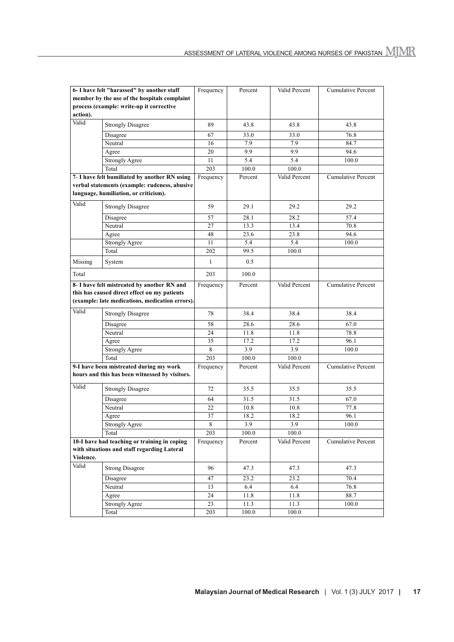| 6- I have felt "harassed" by another staff     |                                                 | Frequency | Percent | Valid Percent | Cumulative Percent        |
|------------------------------------------------|-------------------------------------------------|-----------|---------|---------------|---------------------------|
| member by the use of the hospitals complaint   |                                                 |           |         |               |                           |
|                                                | process (example: write-up it corrective        |           |         |               |                           |
| action).                                       |                                                 |           |         |               |                           |
| Valid                                          | <b>Strongly Disagree</b>                        | 89        | 43.8    | 43.8          | 43.8                      |
|                                                | Disagree                                        | 67        | 33.0    | 33.0          | 76.8                      |
|                                                | Neutral                                         | 16        | 7.9     | 7.9           | 84.7                      |
|                                                | Agree                                           | 20        | 9.9     | 9.9           | 94.6                      |
|                                                | <b>Strongly Agree</b>                           | 11        | 5.4     | 5.4           | 100.0                     |
|                                                | Total                                           | 203       | 100.0   | 100.0         |                           |
|                                                | 7- I have felt humiliated by another RN using   | Frequency | Percent | Valid Percent | <b>Cumulative Percent</b> |
|                                                | verbal statements (example: rudeness, abusive   |           |         |               |                           |
|                                                | language, humiliation, or criticism).           |           |         |               |                           |
| Valid                                          | <b>Strongly Disagree</b>                        | 59        | 29.1    | 29.2          | 29.2                      |
|                                                | Disagree                                        | 57        | 28.1    | 28.2          | 57.4                      |
|                                                | Neutral                                         | 27        | 13.3    | 13.4          | 70.8                      |
|                                                | Agree                                           | 48        | 23.6    | 23.8          | 94.6                      |
|                                                | <b>Strongly Agree</b>                           | 11        | 5.4     | 5.4           | 100.0                     |
|                                                | Total                                           | 202       | 99.5    | 100.0         |                           |
| Missing                                        | System                                          | 1         | 0.5     |               |                           |
| Total                                          |                                                 | 203       | 100.0   |               |                           |
| 8- I have felt mistreated by another RN and    |                                                 | Frequency | Percent | Valid Percent | <b>Cumulative Percent</b> |
| this has caused direct effect on my patients   |                                                 |           |         |               |                           |
|                                                | (example: late medications, medication errors). |           |         |               |                           |
| Valid                                          | <b>Strongly Disagree</b>                        | 78        | 38.4    | 38.4          | 38.4                      |
|                                                | Disagree                                        | 58        | 28.6    | 28.6          | 67.0                      |
|                                                | Neutral                                         | 24        | 11.8    | 11.8          | 78.8                      |
|                                                | Agree                                           | 35        | 17.2    | 17.2          | 96.1                      |
|                                                | <b>Strongly Agree</b>                           | 8         | 3.9     | 3.9           | 100.0                     |
|                                                | Total                                           | 203       | 100.0   | 100.0         |                           |
|                                                | 9-I have been mistreated during my work         | Frequency | Percent | Valid Percent | <b>Cumulative Percent</b> |
| hours and this has been witnessed by visitors. |                                                 |           |         |               |                           |
| Valid                                          | <b>Strongly Disagree</b>                        | 72        | 35.5    | 35.5          | 35.5                      |
|                                                | Disagree                                        | 64        | 31.5    | 31.5          | 67.0                      |
|                                                | Neutral                                         | 22        | 10.8    | 10.8          | 77.8                      |
|                                                | Agree                                           | 37        | 18.2    | 18.2          | 96.1                      |
|                                                | Strongly Agree                                  | 8         | 3.9     | 3.9           | 100.0                     |
|                                                | Total                                           | 203       | 100.0   | 100.0         |                           |
| 10-I have had teaching or training in coping   |                                                 | Frequency | Percent | Valid Percent | Cumulative Percent        |
| with situations and staff regarding Lateral    |                                                 |           |         |               |                           |
| Violence.                                      |                                                 |           |         |               |                           |
| Valid                                          | <b>Strong Disagree</b>                          | 96        | 47.3    | 47.3          | 47.3                      |
|                                                | Disagree                                        | 47        | 23.2    | 23.2          | 70.4                      |
|                                                | Neutral                                         | 13        | 6.4     | 6.4           | 76.8                      |
|                                                | Agree                                           | 24        | 11.8    | 11.8          | 88.7                      |
|                                                | Strongly Agree                                  | 23        | 11.3    | 11.3          | 100.0                     |
|                                                | Total                                           | 203       | 100.0   | 100.0         |                           |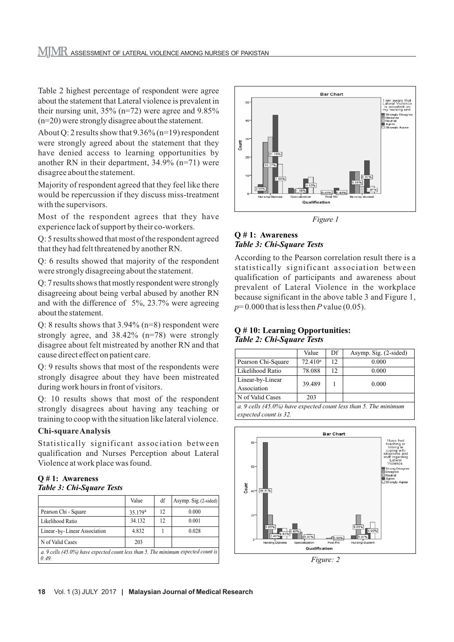Table 2 highest percentage of respondent were agree about the statement that Lateral violence is prevalent in their nursing unit, 35% (n=72) were agree and 9.85% (n=20) were strongly disagree about the statement.

About Q: 2 results show that 9.36% (n=19) respondent were strongly agreed about the statement that they have denied access to learning opportunities by another RN in their department, 34.9% (n=71) were disagree about the statement.

Majority of respondent agreed that they feel like there would be repercussion if they discuss miss-treatment with the supervisors.

Most of the respondent agrees that they have experience lack of support by their co-workers.

Q: 5 results showed that most of the respondent agreed that they had felt threatened by another RN.

Q: 6 results showed that majority of the respondent were strongly disagreeing about the statement.

Q: 7 results shows that mostly respondent were strongly disagreeing about being verbal abused by another RN and with the difference of 5%, 23.7% were agreeing about the statement.

Q: 8 results shows that 3.94% (n=8) respondent were strongly agree, and 38.42% (n=78) were strongly disagree about felt mistreated by another RN and that cause direct effect on patient care.

Q: 9 results shows that most of the respondents were strongly disagree about they have been mistreated during work hours in front of visitors.

Q: 10 results shows that most of the respondent strongly disagrees about having any teaching or training to coop with the situation like lateral violence.

# **Chi-square Analysis**

Statistically significant association between qualification and Nurses Perception about Lateral Violence at work place was found.

#### **Q # 1: Awareness** *Table 3: Chi-Square Tests*

|                                                                                            | Value      | df | Asymp. Sig. (2-sided) |  |
|--------------------------------------------------------------------------------------------|------------|----|-----------------------|--|
| Pearson Chi - Square                                                                       | $35.179^a$ | 12 | 0.000                 |  |
| Likelihood Ratio                                                                           | 34.132     | 12 | 0.001                 |  |
| Linear - by - Linear Association                                                           | 4.832      |    | 0.028                 |  |
| N of Valid Cases                                                                           | 203        |    |                       |  |
| a. 9 cells (45.0%) have expected count less than 5. The minimum expected count is<br>0.49. |            |    |                       |  |



*Figure 1*

### **Q # 1: Awareness** *Table 3: Chi-Square Tests*

According to the Pearson correlation result there is a statistically significant association between qualification of participants and awareness about prevalent of Lateral Violence in the workplace because significant in the above table 3 and Figure 1,  $p=0.000$  that is less then *P* value (0.05).

#### **Q # 10: Learning Opportunities:** *Table 2: Chi-Square Tests*

|                                                                    | Value      | Df | Asymp. Sig. (2-sided) |  |
|--------------------------------------------------------------------|------------|----|-----------------------|--|
| Pearson Chi-Square                                                 | $72.410^a$ | 12 | 0.000                 |  |
| Likelihood Ratio                                                   | 78.088     | 12 | 0.000                 |  |
| Linear-by-Linear                                                   | 39.489     |    | 0.000                 |  |
| Association                                                        |            |    |                       |  |
| N of Valid Cases                                                   | 203        |    |                       |  |
| a. 9 cells $(45.0\%)$ have expected count less than 5. The minimum |            |    |                       |  |

*expected count is 32.*



*Figure: 2*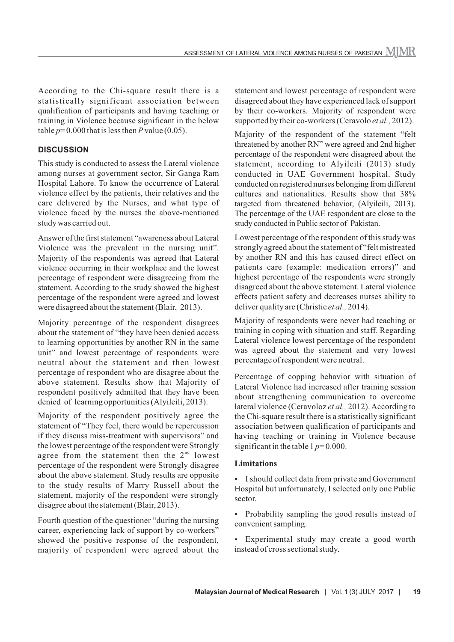According to the Chi-square result there is a statistically significant association between qualification of participants and having teaching or training in Violence because significant in the below table  $p=0.000$  that is less then *P* value (0.05).

### **DISCUSSION**

This study is conducted to assess the Lateral violence among nurses at government sector, Sir Ganga Ram Hospital Lahore. To know the occurrence of Lateral violence effect by the patients, their relatives and the care delivered by the Nurses, and what type of violence faced by the nurses the above-mentioned study was carried out.

Answer of the first statement "awareness about Lateral Violence was the prevalent in the nursing unit". Majority of the respondents was agreed that Lateral violence occurring in their workplace and the lowest percentage of respondent were disagreeing from the statement. According to the study showed the highest percentage of the respondent were agreed and lowest were disagreed about the statement (Blair, 2013).

Majority percentage of the respondent disagrees about the statement of "they have been denied access to learning opportunities by another RN in the same unit" and lowest percentage of respondents were neutral about the statement and then lowest percentage of respondent who are disagree about the above statement. Results show that Majority of respondent positively admitted that they have been denied of learning opportunities (Alyileili, 2013).

Majority of the respondent positively agree the statement of "They feel, there would be repercussion if they discuss miss-treatment with supervisors" and the lowest percentage of the respondent were Strongly agree from the statement then the  $2<sup>nd</sup>$  lowest percentage of the respondent were Strongly disagree about the above statement. Study results are opposite to the study results of Marry Russell about the statement, majority of the respondent were strongly disagree about the statement (Blair, 2013).

Fourth question of the questioner "during the nursing career, experiencing lack of support by co-workers" showed the positive response of the respondent, majority of respondent were agreed about the statement and lowest percentage of respondent were disagreed about they have experienced lack of support by their co-workers. Majority of respondent were supported by their co-workers (Ceravolo *et al.,* 2012).

Majority of the respondent of the statement "felt threatened by another RN" were agreed and 2nd higher percentage of the respondent were disagreed about the statement, according to Alyileili (2013) study conducted in UAE Government hospital. Study conducted on registered nurses belonging from different cultures and nationalities. Results show that 38% targeted from threatened behavior, (Alyileili, 2013). The percentage of the UAE respondent are close to the study conducted in Public sector of Pakistan.

Lowest percentage of the respondent of this study was strongly agreed about the statement of "felt mistreated by another RN and this has caused direct effect on patients care (example: medication errors)" and highest percentage of the respondents were strongly disagreed about the above statement. Lateral violence effects patient safety and decreases nurses ability to deliver quality are (Christie *et al.,* 2014).

Majority of respondents were never had teaching or training in coping with situation and staff. Regarding Lateral violence lowest percentage of the respondent was agreed about the statement and very lowest percentage of respondent were neutral.

Percentage of copping behavior with situation of Lateral Violence had increased after training session about strengthening communication to overcome lateral violence (Ceravoloz *et al.,* 2012). According to the Chi-square result there is a statistically significant association between qualification of participants and having teaching or training in Violence because significant in the table  $1 p=0.000$ .

#### **Limitations**

- I should collect data from private and Government Hospital but unfortunately, I selected only one Public sector.
- Probability sampling the good results instead of convenient sampling.
- Experimental study may create a good worth instead of cross sectional study.